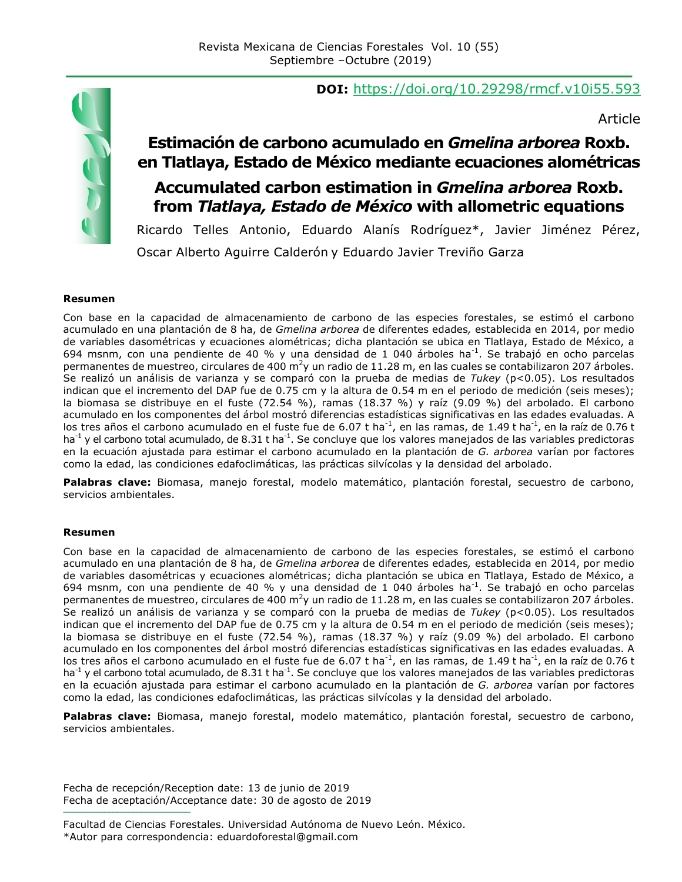# **DOI:** https://doi.org/10.29298/rmcf.v10i55.593

Article

# TUD (

## **Estimación de carbono acumulado en** *Gmelina arborea* **Roxb. en Tlatlaya, Estado de México mediante ecuaciones alométricas Accumulated carbon estimation in** *Gmelina arborea* **Roxb. from** *Tlatlaya, Estado de México* **with allometric equations**

Ricardo Telles Antonio, Eduardo Alanís Rodríguez\*, Javier Jiménez Pérez, Oscar Alberto Aguirre Calderón y Eduardo Javier Treviño Garza

#### **Resumen**

Con base en la capacidad de almacenamiento de carbono de las especies forestales, se estimó el carbono acumulado en una plantación de 8 ha, de *Gmelina arborea* de diferentes edades*,* establecida en 2014, por medio de variables dasométricas y ecuaciones alométricas; dicha plantación se ubica en Tlatlaya, Estado de México, a 694 msnm, con una pendiente de 40 % y una densidad de 1 040 árboles ha<sup>-1</sup>. Se trabajó en ocho parcelas permanentes de muestreo, circulares de 400 m<sup>2</sup>y un radio de 11.28 m, en las cuales se contabilizaron 207 árboles. Se realizó un análisis de varianza y se comparó con la prueba de medias de *Tukey* (p<0.05). Los resultados indican que el incremento del DAP fue de 0.75 cm y la altura de 0.54 m en el periodo de medición (seis meses); la biomasa se distribuye en el fuste (72.54 %), ramas (18.37 %) y raíz (9.09 %) del arbolado. El carbono acumulado en los componentes del árbol mostró diferencias estadísticas significativas en las edades evaluadas. A los tres años el carbono acumulado en el fuste fue de 6.07 t ha<sup>-1</sup>, en las ramas, de 1.49 t ha<sup>-1</sup>, en la raíz de 0.76 t ha<sup>-1</sup> y el carbono total acumulado, de 8.31 t ha<sup>-1</sup>. Se concluye que los valores manejados de las variables predictoras en la ecuación ajustada para estimar el carbono acumulado en la plantación de *G. arborea* varían por factores como la edad, las condiciones edafoclimáticas, las prácticas silvícolas y la densidad del arbolado.

**Palabras clave:** Biomasa, manejo forestal, modelo matemático, plantación forestal, secuestro de carbono, servicios ambientales.

#### **Resumen**

Con base en la capacidad de almacenamiento de carbono de las especies forestales, se estimó el carbono acumulado en una plantación de 8 ha, de *Gmelina arborea* de diferentes edades*,* establecida en 2014, por medio de variables dasométricas y ecuaciones alométricas; dicha plantación se ubica en Tlatlaya, Estado de México, a 694 msnm, con una pendiente de 40 % y una densidad de 1 040 árboles ha<sup>-1</sup>. Se trabajó en ocho parcelas permanentes de muestreo, circulares de 400 m<sup>2</sup>y un radio de 11.28 m, en las cuales se contabilizaron 207 árboles. Se realizó un análisis de varianza y se comparó con la prueba de medias de *Tukey* (p<0.05). Los resultados indican que el incremento del DAP fue de 0.75 cm y la altura de 0.54 m en el periodo de medición (seis meses); la biomasa se distribuye en el fuste (72.54 %), ramas (18.37 %) y raíz (9.09 %) del arbolado. El carbono acumulado en los componentes del árbol mostró diferencias estadísticas significativas en las edades evaluadas. A los tres años el carbono acumulado en el fuste fue de 6.07 t ha<sup>-1</sup>, en las ramas, de 1.49 t ha<sup>-1</sup>, en la raíz de 0.76 t ha<sup>-1</sup> y el carbono total acumulado, de 8.31 t ha<sup>-1</sup>. Se concluye que los valores manejados de las variables predictoras en la ecuación ajustada para estimar el carbono acumulado en la plantación de *G. arborea* varían por factores como la edad, las condiciones edafoclimáticas, las prácticas silvícolas y la densidad del arbolado.

**Palabras clave:** Biomasa, manejo forestal, modelo matemático, plantación forestal, secuestro de carbono, servicios ambientales.

Fecha de recepción/Reception date: 13 de junio de 2019 Fecha de aceptación/Acceptance date: 30 de agosto de 2019 **\_\_\_\_\_\_\_\_\_\_\_\_\_\_\_\_\_\_\_\_\_\_\_\_\_\_\_\_\_\_\_**

Facultad de Ciencias Forestales. Universidad Autónoma de Nuevo León. México. \*Autor para correspondencia: eduardoforestal@gmail.com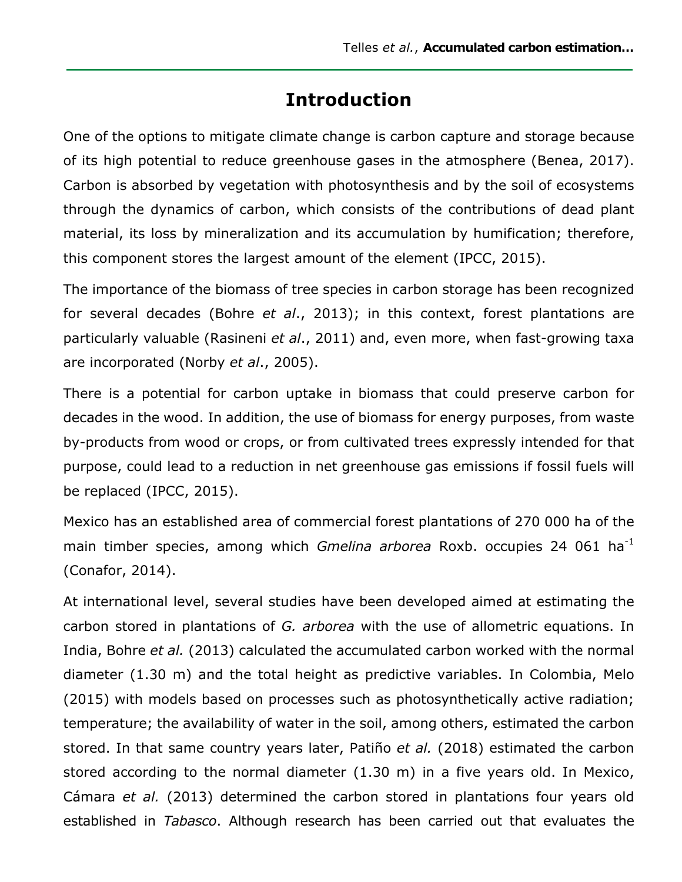# **Introduction**

One of the options to mitigate climate change is carbon capture and storage because of its high potential to reduce greenhouse gases in the atmosphere (Benea, 2017). Carbon is absorbed by vegetation with photosynthesis and by the soil of ecosystems through the dynamics of carbon, which consists of the contributions of dead plant material, its loss by mineralization and its accumulation by humification; therefore, this component stores the largest amount of the element (IPCC, 2015).

The importance of the biomass of tree species in carbon storage has been recognized for several decades (Bohre *et al*., 2013); in this context, forest plantations are particularly valuable (Rasineni *et al*., 2011) and, even more, when fast-growing taxa are incorporated (Norby *et al*., 2005).

There is a potential for carbon uptake in biomass that could preserve carbon for decades in the wood. In addition, the use of biomass for energy purposes, from waste by-products from wood or crops, or from cultivated trees expressly intended for that purpose, could lead to a reduction in net greenhouse gas emissions if fossil fuels will be replaced (IPCC, 2015).

Mexico has an established area of commercial forest plantations of 270 000 ha of the main timber species, among which *Gmelina arborea* Roxb. occupies 24 061 ha-1 (Conafor, 2014).

At international level, several studies have been developed aimed at estimating the carbon stored in plantations of *G. arborea* with the use of allometric equations. In India, Bohre *et al.* (2013) calculated the accumulated carbon worked with the normal diameter (1.30 m) and the total height as predictive variables. In Colombia, Melo (2015) with models based on processes such as photosynthetically active radiation; temperature; the availability of water in the soil, among others, estimated the carbon stored. In that same country years later, Patiño *et al.* (2018) estimated the carbon stored according to the normal diameter (1.30 m) in a five years old. In Mexico, Cámara *et al.* (2013) determined the carbon stored in plantations four years old established in *Tabasco*. Although research has been carried out that evaluates the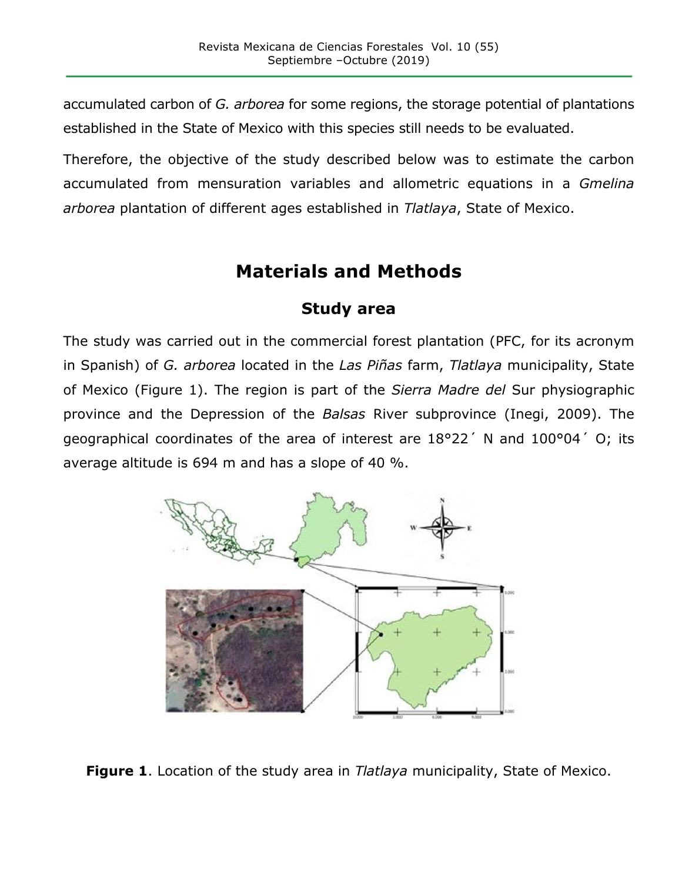accumulated carbon of *G. arborea* for some regions, the storage potential of plantations established in the State of Mexico with this species still needs to be evaluated.

Therefore, the objective of the study described below was to estimate the carbon accumulated from mensuration variables and allometric equations in a *Gmelina arborea* plantation of different ages established in *Tlatlaya*, State of Mexico.

# **Materials and Methods**

#### **Study area**

The study was carried out in the commercial forest plantation (PFC, for its acronym in Spanish) of *G. arborea* located in the *Las Piñas* farm, *Tlatlaya* municipality, State of Mexico (Figure 1). The region is part of the *Sierra Madre del* Sur physiographic province and the Depression of the *Balsas* River subprovince (Inegi, 2009). The geographical coordinates of the area of interest are 18°22´ N and 100°04´ O; its average altitude is 694 m and has a slope of 40 %.



**Figure 1**. Location of the study area in *Tlatlaya* municipality, State of Mexico.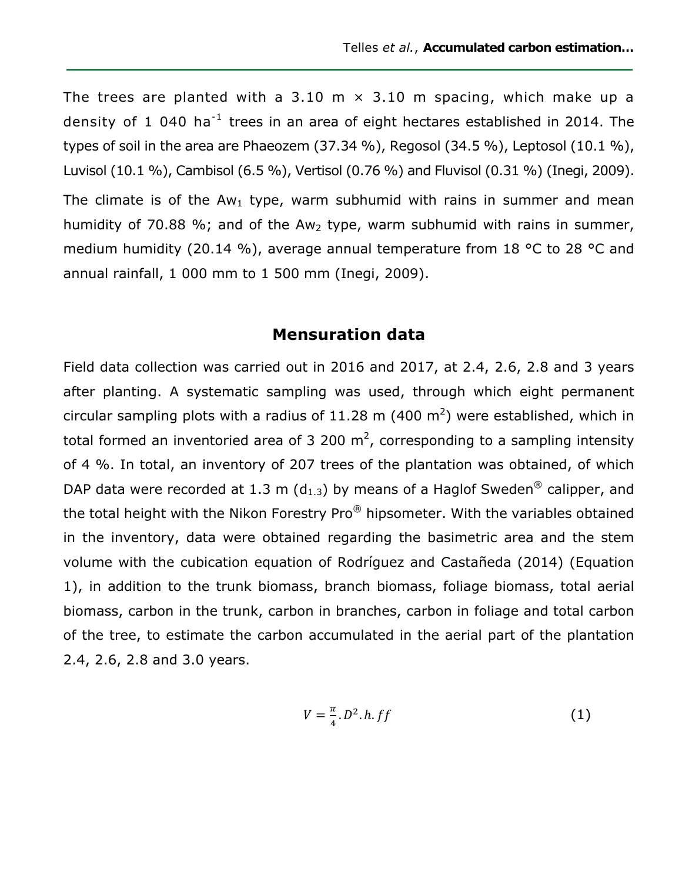The trees are planted with a 3.10 m  $\times$  3.10 m spacing, which make up a density of 1 040 ha<sup>-1</sup> trees in an area of eight hectares established in 2014. The types of soil in the area are Phaeozem (37.34 %), Regosol (34.5 %), Leptosol (10.1 %), Luvisol (10.1 %), Cambisol (6.5 %), Vertisol (0.76 %) and Fluvisol (0.31 %) (Inegi, 2009). The climate is of the Aw<sub>1</sub> type, warm subhumid with rains in summer and mean humidity of 70.88 %; and of the Aw<sub>2</sub> type, warm subhumid with rains in summer, medium humidity (20.14 %), average annual temperature from 18 °C to 28 °C and annual rainfall, 1 000 mm to 1 500 mm (Inegi, 2009).

#### **Mensuration data**

Field data collection was carried out in 2016 and 2017, at 2.4, 2.6, 2.8 and 3 years after planting. A systematic sampling was used, through which eight permanent circular sampling plots with a radius of 11.28 m (400 m<sup>2</sup>) were established, which in total formed an inventoried area of 3 200 m<sup>2</sup>, corresponding to a sampling intensity of 4 %. In total, an inventory of 207 trees of the plantation was obtained, of which DAP data were recorded at 1.3 m ( $d_{1,3}$ ) by means of a Haglof Sweden<sup>®</sup> calipper, and the total height with the Nikon Forestry Pro® hipsometer. With the variables obtained in the inventory, data were obtained regarding the basimetric area and the stem volume with the cubication equation of Rodríguez and Castañeda (2014) (Equation 1), in addition to the trunk biomass, branch biomass, foliage biomass, total aerial biomass, carbon in the trunk, carbon in branches, carbon in foliage and total carbon of the tree, to estimate the carbon accumulated in the aerial part of the plantation 2.4, 2.6, 2.8 and 3.0 years.

$$
V=\frac{\pi}{4}.D^2.h.ff\tag{1}
$$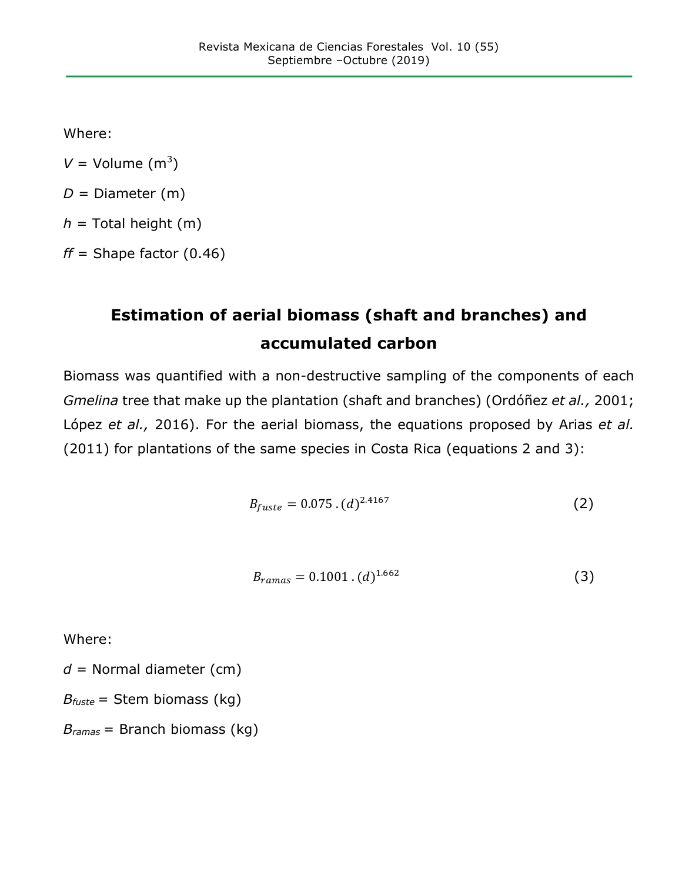Where:

 $V =$  Volume  $(m^3)$ 

 $D =$  Diameter (m)

 $h =$  Total height (m)

 $ff$  = Shape factor  $(0.46)$ 

# **Estimation of aerial biomass (shaft and branches) and accumulated carbon**

Biomass was quantified with a non-destructive sampling of the components of each *Gmelina* tree that make up the plantation (shaft and branches) (Ordóñez *et al.,* 2001; López *et al.,* 2016). For the aerial biomass, the equations proposed by Arias *et al.* (2011) for plantations of the same species in Costa Rica (equations 2 and 3):

$$
B_{fuste} = 0.075 \cdot (d)^{2.4167} \tag{2}
$$

$$
B_{rams} = 0.1001 \cdot (d)^{1.662} \tag{3}
$$

Where:

*d* = Normal diameter (cm)

*Bfuste* = Stem biomass (kg)

*Bramas* = Branch biomass (kg)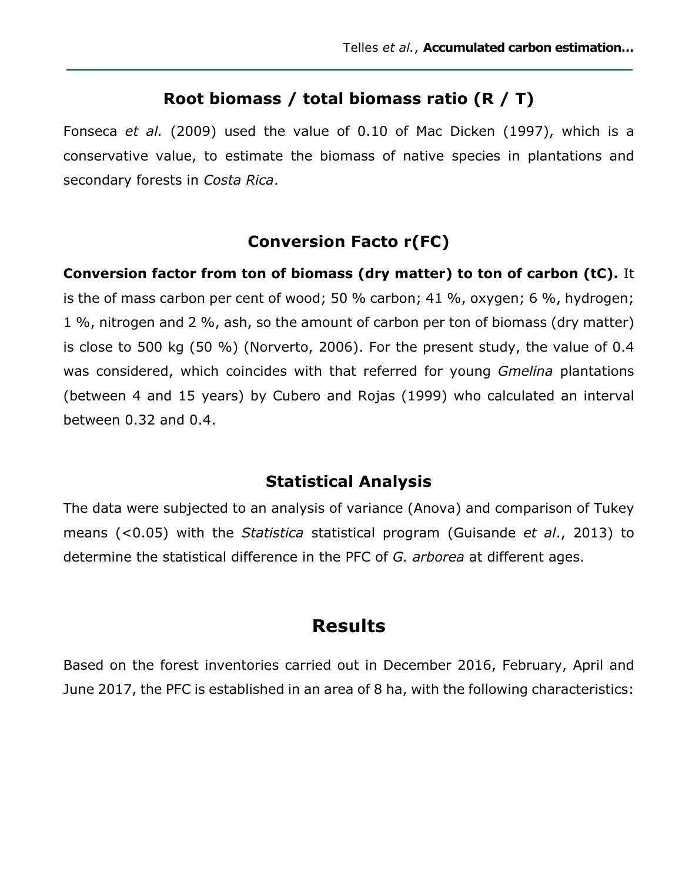#### **Root biomass / total biomass ratio (R / T)**

Fonseca *et al.* (2009) used the value of 0.10 of Mac Dicken (1997), which is a conservative value, to estimate the biomass of native species in plantations and secondary forests in *Costa Rica*.

## **Conversion Facto r(FC)**

**Conversion factor from ton of biomass (dry matter) to ton of carbon (tC).** It is the of mass carbon per cent of wood; 50 % carbon; 41 %, oxygen; 6 %, hydrogen; 1 %, nitrogen and 2 %, ash, so the amount of carbon per ton of biomass (dry matter) is close to 500 kg (50 %) (Norverto, 2006). For the present study, the value of 0.4 was considered, which coincides with that referred for young *Gmelina* plantations (between 4 and 15 years) by Cubero and Rojas (1999) who calculated an interval between 0.32 and 0.4.

## **Statistical Analysis**

The data were subjected to an analysis of variance (Anova) and comparison of Tukey means (<0.05) with the *Statistica* statistical program (Guisande *et al*., 2013) to determine the statistical difference in the PFC of *G. arborea* at different ages.

## **Results**

Based on the forest inventories carried out in December 2016, February, April and June 2017, the PFC is established in an area of 8 ha, with the following characteristics: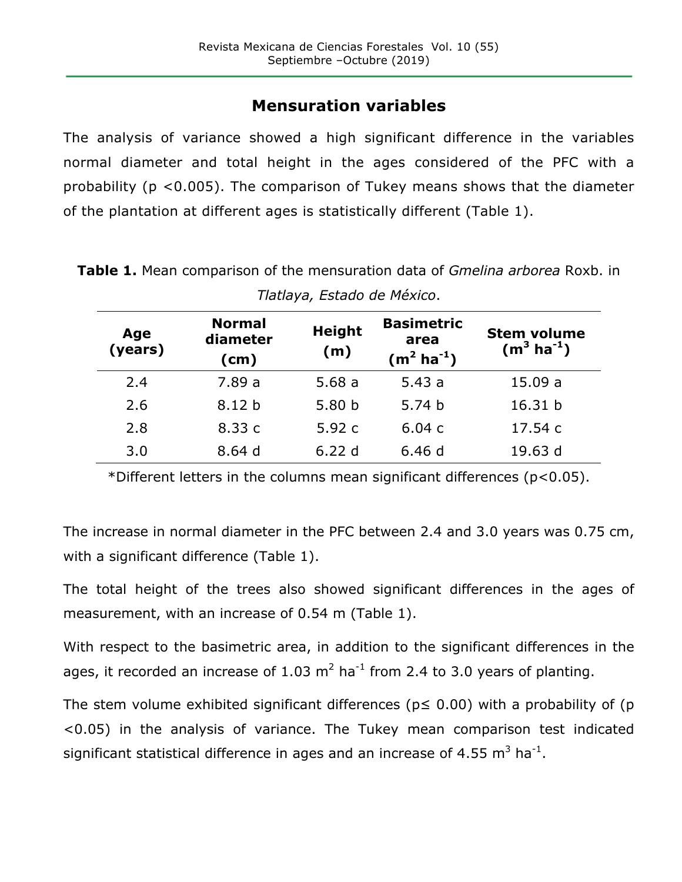## **Mensuration variables**

The analysis of variance showed a high significant difference in the variables normal diameter and total height in the ages considered of the PFC with a probability (p <0.005). The comparison of Tukey means shows that the diameter of the plantation at different ages is statistically different (Table 1).

| Age<br>(years) | <b>Normal</b><br>diameter<br>(cm) | <b>Height</b><br>(m) | <b>Basimetric</b><br>area<br>$(m^2 \text{ ha}^{-1})$ | <b>Stem volume</b><br>$(m^3 \text{ ha}^{-1})$ |  |  |  |
|----------------|-----------------------------------|----------------------|------------------------------------------------------|-----------------------------------------------|--|--|--|
| 2.4            | 7.89a                             | 5.68a                | 5.43a                                                | 15.09a                                        |  |  |  |
| 2.6            | 8.12 <sub>b</sub>                 | 5.80 <sub>b</sub>    | 5.74 <sub>b</sub>                                    | 16.31 b                                       |  |  |  |
| 2.8            | 8.33 c                            | 5.92c                | 6.04c                                                | 17.54 c                                       |  |  |  |
| 3.0            | 8.64d                             | 6.22d                | 6.46d                                                | 19.63 d                                       |  |  |  |

**Table 1.** Mean comparison of the mensuration data of *Gmelina arborea* Roxb. in *Tlatlaya, Estado de México*.

\*Different letters in the columns mean significant differences (p<0.05).

The increase in normal diameter in the PFC between 2.4 and 3.0 years was 0.75 cm, with a significant difference (Table 1).

The total height of the trees also showed significant differences in the ages of measurement, with an increase of 0.54 m (Table 1).

With respect to the basimetric area, in addition to the significant differences in the ages, it recorded an increase of 1.03  $m^2$  ha<sup>-1</sup> from 2.4 to 3.0 years of planting.

The stem volume exhibited significant differences ( $p \le 0.00$ ) with a probability of (p <0.05) in the analysis of variance. The Tukey mean comparison test indicated significant statistical difference in ages and an increase of 4.55  $m^3$  ha<sup>-1</sup>.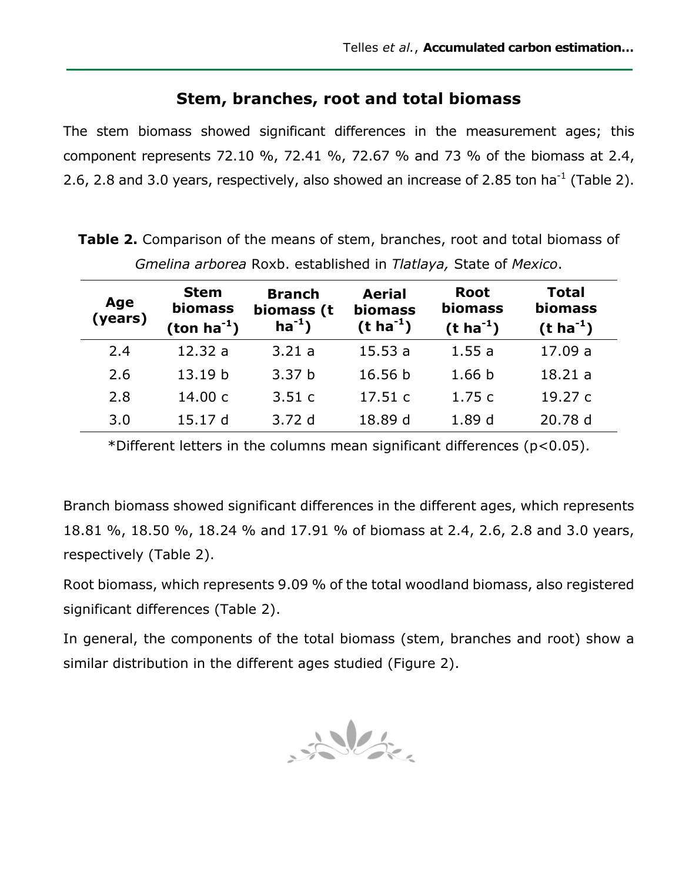#### **Stem, branches, root and total biomass**

The stem biomass showed significant differences in the measurement ages; this component represents 72.10 %, 72.41 %, 72.67 % and 73 % of the biomass at 2.4, 2.6, 2.8 and 3.0 years, respectively, also showed an increase of 2.85 ton ha<sup>-1</sup> (Table 2).

| Unicinia arborca Roxo. Cstablishca in <i>Hatlaya,</i> State of McXico. |                                               |                                            |                                                     |                                                   |                                                    |  |  |
|------------------------------------------------------------------------|-----------------------------------------------|--------------------------------------------|-----------------------------------------------------|---------------------------------------------------|----------------------------------------------------|--|--|
| Age<br>(years)                                                         | <b>Stem</b><br><b>biomass</b><br>$(ton ha-1)$ | <b>Branch</b><br>biomass (t<br>$ha^{-1}$ ) | <b>Aerial</b><br><b>biomass</b><br>$(t \, ha^{-1})$ | <b>Root</b><br><b>biomass</b><br>$(t \, ha^{-1})$ | <b>Total</b><br><b>biomass</b><br>$(t \, ha^{-1})$ |  |  |
| 2.4                                                                    | 12.32a                                        | 3.21a                                      | 15.53a                                              | 1.55a                                             | 17.09 a                                            |  |  |
| 2.6                                                                    | 13.19 b                                       | 3.37 <sub>b</sub>                          | 16.56 b                                             | 1.66 <sub>b</sub>                                 | 18.21a                                             |  |  |
| 2.8                                                                    | 14.00 c                                       | 3.51c                                      | 17.51c                                              | 1.75c                                             | 19.27 c                                            |  |  |
| 3.0                                                                    | 15.17 d                                       | 3.72d                                      | 18.89 d                                             | 1.89 <sub>d</sub>                                 | 20.78 d                                            |  |  |

**Table 2.** Comparison of the means of stem, branches, root and total biomass of *Gmelina arborea* Roxb. established in *Tlatlaya,* State of *Mexico*.

\*Different letters in the columns mean significant differences (p<0.05).

Branch biomass showed significant differences in the different ages, which represents 18.81 %, 18.50 %, 18.24 % and 17.91 % of biomass at 2.4, 2.6, 2.8 and 3.0 years, respectively (Table 2).

Root biomass, which represents 9.09 % of the total woodland biomass, also registered significant differences (Table 2).

In general, the components of the total biomass (stem, branches and root) show a similar distribution in the different ages studied (Figure 2).

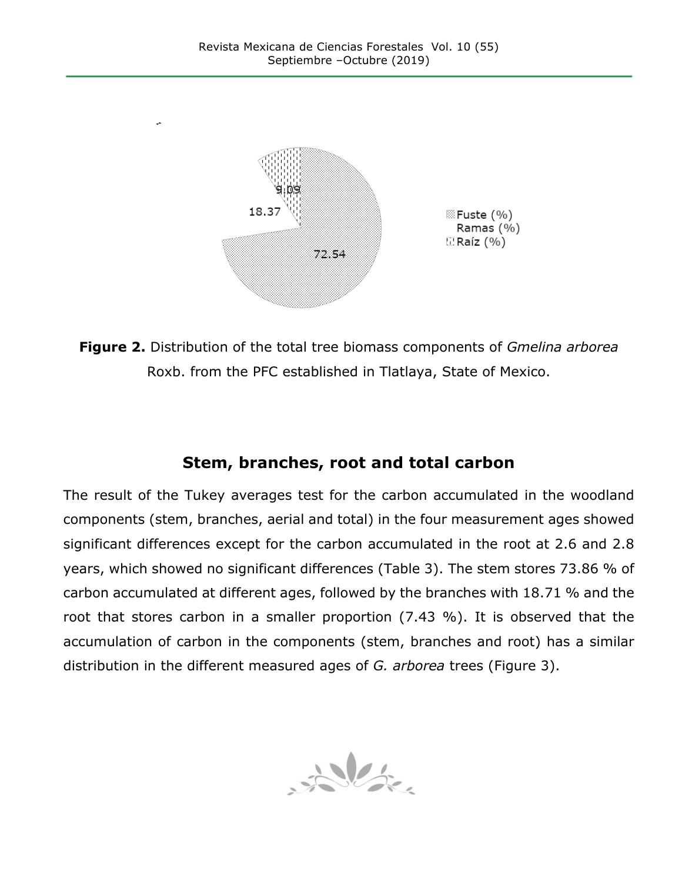

**Figure 2.** Distribution of the total tree biomass components of *Gmelina arborea* Roxb. from the PFC established in Tlatlaya, State of Mexico.

## **Stem, branches, root and total carbon**

The result of the Tukey averages test for the carbon accumulated in the woodland components (stem, branches, aerial and total) in the four measurement ages showed significant differences except for the carbon accumulated in the root at 2.6 and 2.8 years, which showed no significant differences (Table 3). The stem stores 73.86 % of carbon accumulated at different ages, followed by the branches with 18.71 % and the root that stores carbon in a smaller proportion (7.43 %). It is observed that the accumulation of carbon in the components (stem, branches and root) has a similar distribution in the different measured ages of *G. arborea* trees (Figure 3).

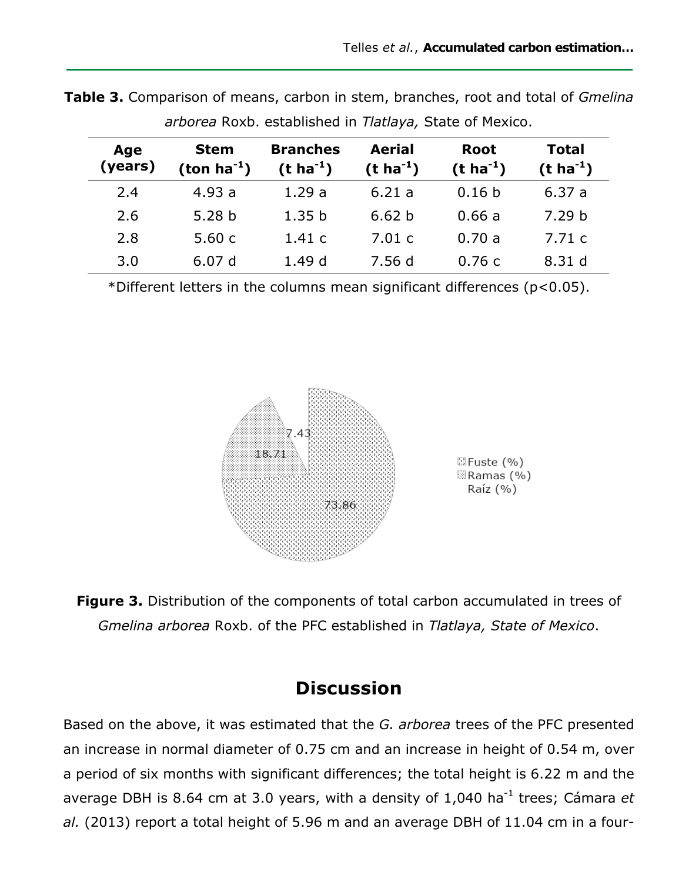| Age<br>(years) | <b>Stem</b><br>$(ton ha-1)$ | <b>Branches</b><br>$(t \, ha^{-1})$ | <b>Aerial</b><br>$(t \, ha^{-1})$ | <b>Root</b><br>$(t \, ha^{-1})$ | <b>Total</b><br>$(t \, ha^{-1})$ |
|----------------|-----------------------------|-------------------------------------|-----------------------------------|---------------------------------|----------------------------------|
| 2.4            | 4.93a                       | 1.29a                               | 6.21a                             | 0.16 <sub>b</sub>               | 6.37a                            |
| 2.6            | 5.28 <sub>b</sub>           | 1.35 <sub>b</sub>                   | 6.62 <sub>b</sub>                 | 0.66a                           | 7.29 <sub>b</sub>                |
| 2.8            | 5.60c                       | 1.41c                               | 7.01c                             | 0.70a                           | 7.71c                            |
| 3.0            | 6.07d                       | 1.49d                               | 7.56d                             | 0.76c                           | 8.31 d                           |

**Table 3.** Comparison of means, carbon in stem, branches, root and total of *Gmelina arborea* Roxb. established in *Tlatlaya,* State of Mexico.

\*Different letters in the columns mean significant differences (p<0.05).



**Figure 3.** Distribution of the components of total carbon accumulated in trees of *Gmelina arborea* Roxb. of the PFC established in *Tlatlaya, State of Mexico*.

## **Discussion**

Based on the above, it was estimated that the *G. arborea* trees of the PFC presented an increase in normal diameter of 0.75 cm and an increase in height of 0.54 m, over a period of six months with significant differences; the total height is 6.22 m and the average DBH is 8.64 cm at 3.0 years, with a density of 1,040 ha<sup>-1</sup> trees; Cámara et *al.* (2013) report a total height of 5.96 m and an average DBH of 11.04 cm in a four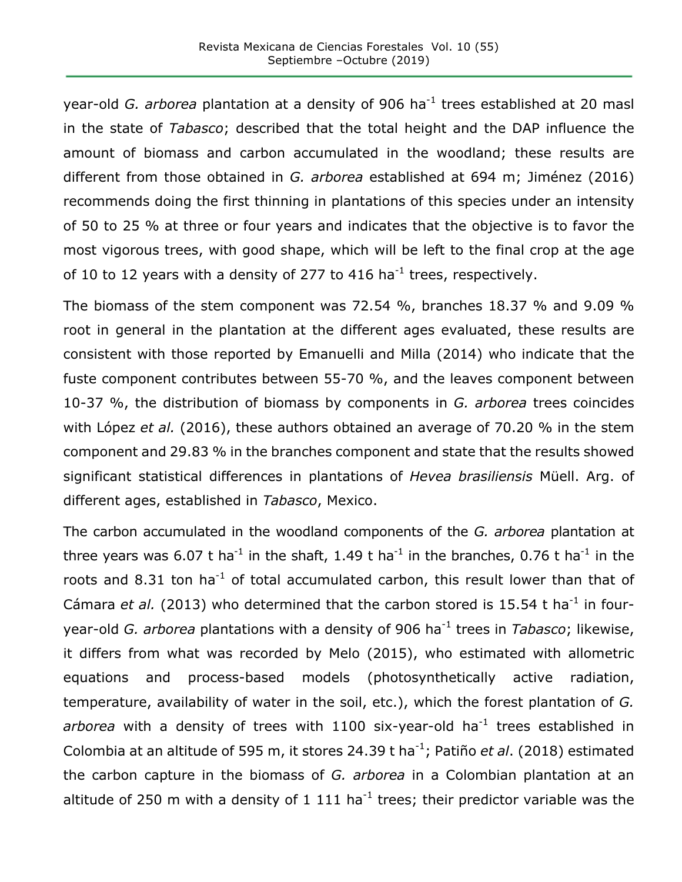year-old *G. arborea* plantation at a density of 906 ha<sup>-1</sup> trees established at 20 masl in the state of *Tabasco*; described that the total height and the DAP influence the amount of biomass and carbon accumulated in the woodland; these results are different from those obtained in *G. arborea* established at 694 m; Jiménez (2016) recommends doing the first thinning in plantations of this species under an intensity of 50 to 25 % at three or four years and indicates that the objective is to favor the most vigorous trees, with good shape, which will be left to the final crop at the age of 10 to 12 years with a density of 277 to 416 ha<sup>-1</sup> trees, respectively.

The biomass of the stem component was 72.54 %, branches 18.37 % and 9.09 % root in general in the plantation at the different ages evaluated, these results are consistent with those reported by Emanuelli and Milla (2014) who indicate that the fuste component contributes between 55-70 %, and the leaves component between 10-37 %, the distribution of biomass by components in *G. arborea* trees coincides with López *et al.* (2016), these authors obtained an average of 70.20 % in the stem component and 29.83 % in the branches component and state that the results showed significant statistical differences in plantations of *Hevea brasiliensis* Müell. Arg. of different ages, established in *Tabasco*, Mexico.

The carbon accumulated in the woodland components of the *G. arborea* plantation at three years was 6.07 t ha<sup>-1</sup> in the shaft, 1.49 t ha<sup>-1</sup> in the branches, 0.76 t ha<sup>-1</sup> in the roots and 8.31 ton ha<sup>-1</sup> of total accumulated carbon, this result lower than that of Cámara *et al.* (2013) who determined that the carbon stored is 15.54 t ha<sup>-1</sup> in fouryear-old *G. arborea* plantations with a density of 906 ha-1 trees in *Tabasco*; likewise, it differs from what was recorded by Melo (2015), who estimated with allometric equations and process-based models (photosynthetically active radiation, temperature, availability of water in the soil, etc.), which the forest plantation of *G.*  arborea with a density of trees with 1100 six-year-old ha<sup>-1</sup> trees established in Colombia at an altitude of 595 m, it stores 24.39 t ha<sup>-1</sup>; Patiño et al. (2018) estimated the carbon capture in the biomass of *G. arborea* in a Colombian plantation at an altitude of 250 m with a density of 1 111 ha<sup>-1</sup> trees; their predictor variable was the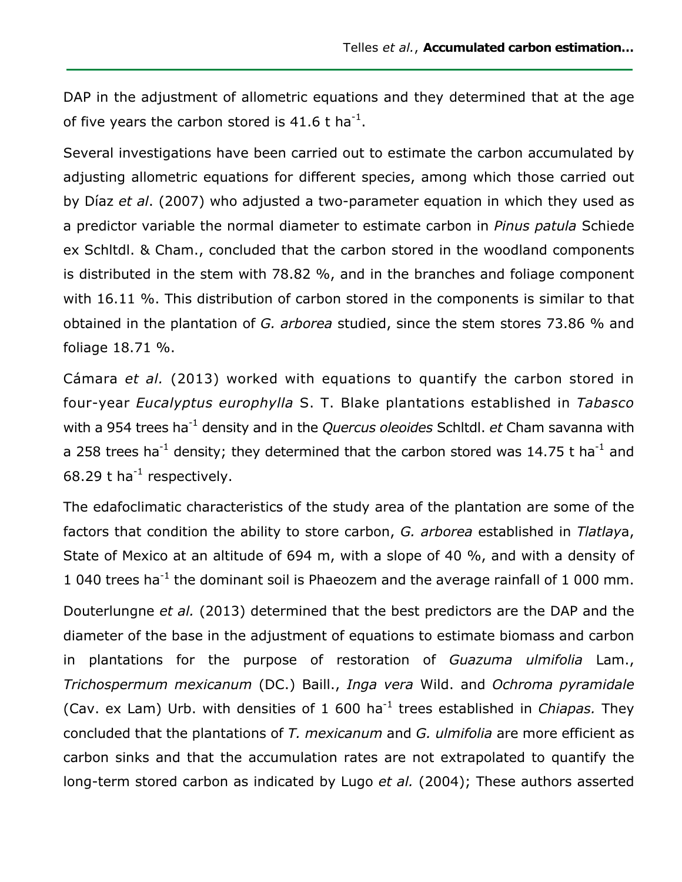DAP in the adjustment of allometric equations and they determined that at the age of five years the carbon stored is 41.6 t ha<sup>-1</sup>.

Several investigations have been carried out to estimate the carbon accumulated by adjusting allometric equations for different species, among which those carried out by Díaz *et al*. (2007) who adjusted a two-parameter equation in which they used as a predictor variable the normal diameter to estimate carbon in *Pinus patula* Schiede ex Schltdl. & Cham., concluded that the carbon stored in the woodland components is distributed in the stem with 78.82 %, and in the branches and foliage component with 16.11 %. This distribution of carbon stored in the components is similar to that obtained in the plantation of *G. arborea* studied, since the stem stores 73.86 % and foliage 18.71 %.

Cámara *et al.* (2013) worked with equations to quantify the carbon stored in four-year *Eucalyptus europhylla* S. T. Blake plantations established in *Tabasco* with a 954 trees ha<sup>-1</sup> density and in the *Quercus oleoides* Schltdl. *et* Cham savanna with a 258 trees ha<sup>-1</sup> density; they determined that the carbon stored was 14.75 t ha<sup>-1</sup> and 68.29 t ha $^{-1}$  respectively.

The edafoclimatic characteristics of the study area of the plantation are some of the factors that condition the ability to store carbon, *G. arborea* established in *Tlatlay*a, State of Mexico at an altitude of 694 m, with a slope of 40 %, and with a density of 1 040 trees ha<sup>-1</sup> the dominant soil is Phaeozem and the average rainfall of 1 000 mm.

Douterlungne *et al.* (2013) determined that the best predictors are the DAP and the diameter of the base in the adjustment of equations to estimate biomass and carbon in plantations for the purpose of restoration of *Guazuma ulmifolia* Lam., *Trichospermum mexicanum* (DC.) Baill., *Inga vera* Wild. and *Ochroma pyramidale* (Cav. ex Lam) Urb. with densities of 1 600 ha-1 trees established in *Chiapas.* They concluded that the plantations of *T. mexicanum* and *G. ulmifolia* are more efficient as carbon sinks and that the accumulation rates are not extrapolated to quantify the long-term stored carbon as indicated by Lugo *et al.* (2004); These authors asserted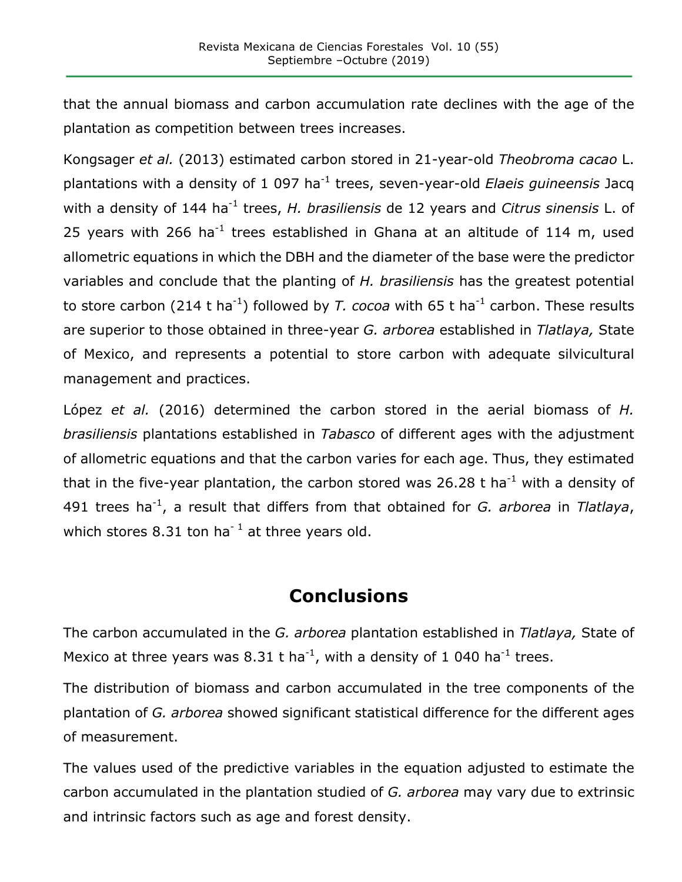that the annual biomass and carbon accumulation rate declines with the age of the plantation as competition between trees increases.

Kongsager *et al.* (2013) estimated carbon stored in 21-year-old *Theobroma cacao* L. plantations with a density of 1 097 ha-1 trees, seven-year-old *Elaeis guineensis* Jacq with a density of 144 ha<sup>-1</sup> trees, *H. brasiliensis* de 12 years and *Citrus sinensis* L. of 25 years with 266 ha<sup>-1</sup> trees established in Ghana at an altitude of 114 m, used allometric equations in which the DBH and the diameter of the base were the predictor variables and conclude that the planting of *H. brasiliensis* has the greatest potential to store carbon (214 t ha<sup>-1</sup>) followed by *T. cocoa* with 65 t ha<sup>-1</sup> carbon. These results are superior to those obtained in three-year *G. arborea* established in *Tlatlaya,* State of Mexico, and represents a potential to store carbon with adequate silvicultural management and practices.

López *et al.* (2016) determined the carbon stored in the aerial biomass of *H. brasiliensis* plantations established in *Tabasco* of different ages with the adjustment of allometric equations and that the carbon varies for each age. Thus, they estimated that in the five-year plantation, the carbon stored was 26.28 t ha<sup>-1</sup> with a density of 491 trees ha<sup>-1</sup>, a result that differs from that obtained for *G. arborea* in *Tlatlaya*, which stores 8.31 ton ha<sup>-1</sup> at three years old.

# **Conclusions**

The carbon accumulated in the *G. arborea* plantation established in *Tlatlaya,* State of Mexico at three years was 8.31 t ha<sup>-1</sup>, with a density of 1 040 ha<sup>-1</sup> trees.

The distribution of biomass and carbon accumulated in the tree components of the plantation of *G. arborea* showed significant statistical difference for the different ages of measurement.

The values used of the predictive variables in the equation adjusted to estimate the carbon accumulated in the plantation studied of *G. arborea* may vary due to extrinsic and intrinsic factors such as age and forest density.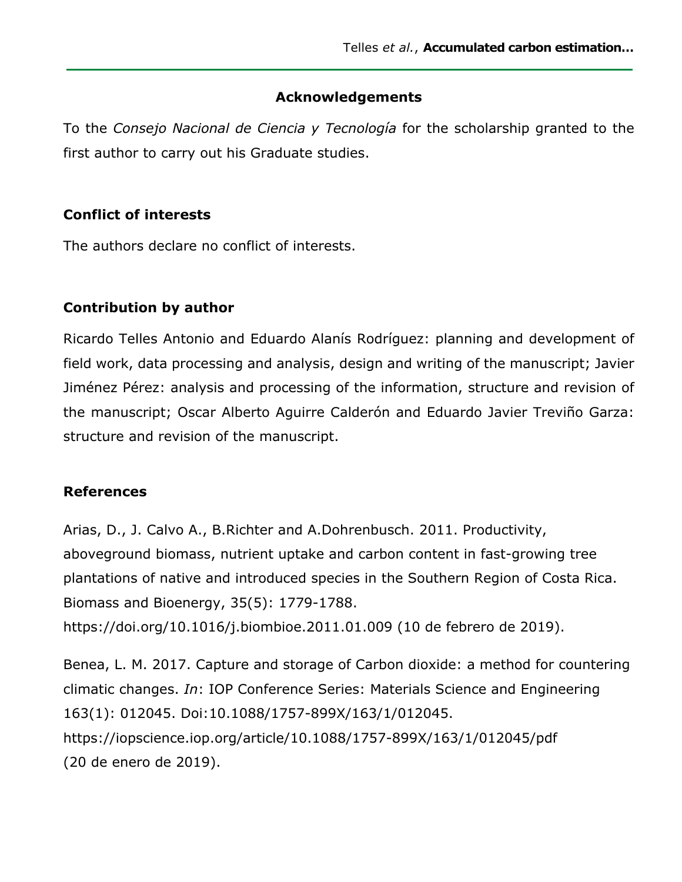#### **Acknowledgements**

To the *Consejo Nacional de Ciencia y Tecnología* for the scholarship granted to the first author to carry out his Graduate studies.

#### **Conflict of interests**

The authors declare no conflict of interests.

#### **Contribution by author**

Ricardo Telles Antonio and Eduardo Alanís Rodríguez: planning and development of field work, data processing and analysis, design and writing of the manuscript; Javier Jiménez Pérez: analysis and processing of the information, structure and revision of the manuscript; Oscar Alberto Aguirre Calderón and Eduardo Javier Treviño Garza: structure and revision of the manuscript.

#### **References**

Arias, D., J. Calvo A., B.Richter and A.Dohrenbusch. 2011. Productivity, aboveground biomass, nutrient uptake and carbon content in fast-growing tree plantations of native and introduced species in the Southern Region of Costa Rica. Biomass and Bioenergy, 35(5): 1779-1788. https://doi.org/10.1016/j.biombioe.2011.01.009 (10 de febrero de 2019).

Benea, L. M. 2017. Capture and storage of Carbon dioxide: a method for countering climatic changes. *In*: IOP Conference Series: Materials Science and Engineering 163(1): 012045. Doi:10.1088/1757-899X/163/1/012045. https://iopscience.iop.org/article/10.1088/1757-899X/163/1/012045/pdf (20 de enero de 2019).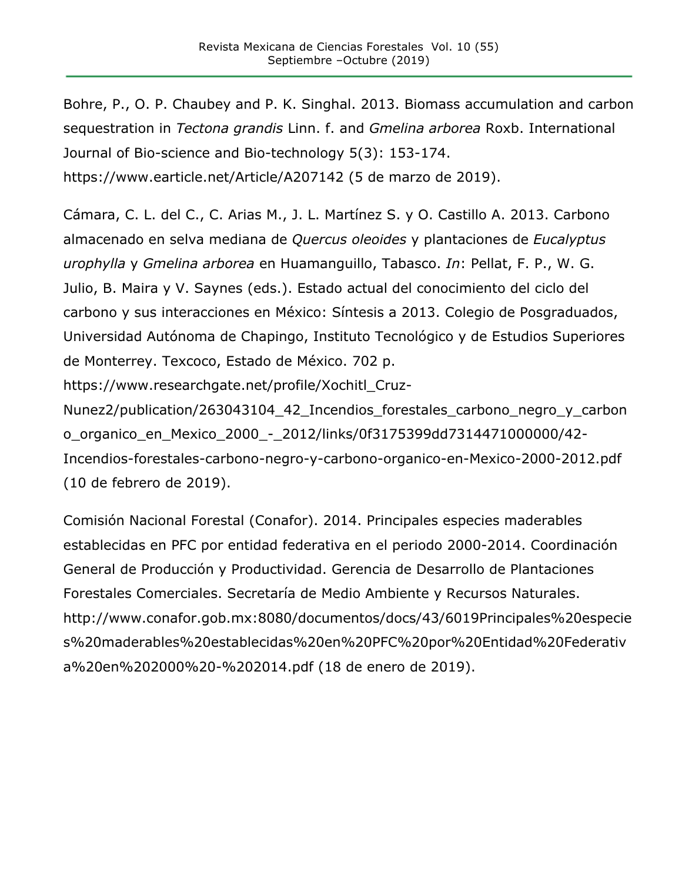Bohre, P., O. P. Chaubey and P. K. Singhal. 2013. Biomass accumulation and carbon sequestration in *Tectona grandis* Linn. f. and *Gmelina arborea* Roxb. International Journal of Bio-science and Bio-technology 5(3): 153-174. https://www.earticle.net/Article/A207142 (5 de marzo de 2019).

Cámara, C. L. del C., C. Arias M., J. L. Martínez S. y O. Castillo A. 2013. Carbono almacenado en selva mediana de *Quercus oleoides* y plantaciones de *Eucalyptus urophylla* y *Gmelina arborea* en Huamanguillo, Tabasco. *In*: Pellat, F. P., W. G. Julio, B. Maira y V. Saynes (eds.). Estado actual del conocimiento del ciclo del carbono y sus interacciones en México: Síntesis a 2013. Colegio de Posgraduados, Universidad Autónoma de Chapingo, Instituto Tecnológico y de Estudios Superiores de Monterrey. Texcoco, Estado de México. 702 p.

https://www.researchgate.net/profile/Xochitl\_Cruz-

Nunez2/publication/263043104 42 Incendios forestales carbono negro y carbon o\_organico\_en\_Mexico\_2000\_-\_2012/links/0f3175399dd7314471000000/42- Incendios-forestales-carbono-negro-y-carbono-organico-en-Mexico-2000-2012.pdf (10 de febrero de 2019).

Comisión Nacional Forestal (Conafor). 2014. Principales especies maderables establecidas en PFC por entidad federativa en el periodo 2000-2014. Coordinación General de Producción y Productividad. Gerencia de Desarrollo de Plantaciones Forestales Comerciales. Secretaría de Medio Ambiente y Recursos Naturales. http://www.conafor.gob.mx:8080/documentos/docs/43/6019Principales%20especie s%20maderables%20establecidas%20en%20PFC%20por%20Entidad%20Federativ a%20en%202000%20-%202014.pdf (18 de enero de 2019).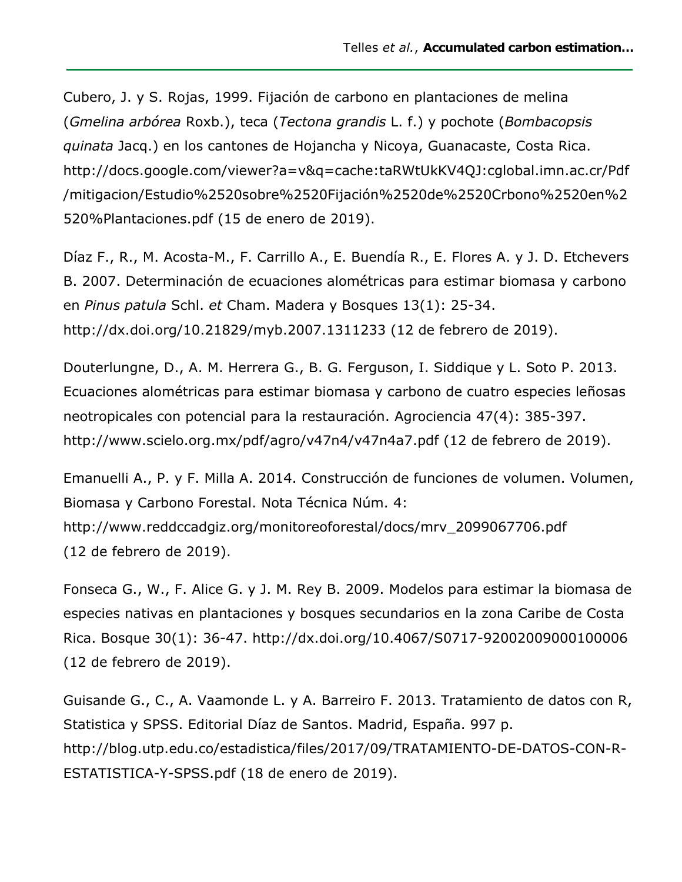Cubero, J. y S. Rojas, 1999. Fijación de carbono en plantaciones de melina (*Gmelina arbórea* Roxb.), teca (*Tectona grandis* L. f.) y pochote (*Bombacopsis quinata* Jacq.) en los cantones de Hojancha y Nicoya, Guanacaste, Costa Rica. http://docs.google.com/viewer?a=v&q=cache:taRWtUkKV4QJ:cglobal.imn.ac.cr/Pdf /mitigacion/Estudio%2520sobre%2520Fijación%2520de%2520Crbono%2520en%2 520%Plantaciones.pdf (15 de enero de 2019).

Díaz F., R., M. Acosta-M., F. Carrillo A., E. Buendía R., E. Flores A. y J. D. Etchevers B. 2007. Determinación de ecuaciones alométricas para estimar biomasa y carbono en *Pinus patula* Schl. *et* Cham. Madera y Bosques 13(1): 25-34. http://dx.doi.org/10.21829/myb.2007.1311233 (12 de febrero de 2019).

Douterlungne, D., A. M. Herrera G., B. G. Ferguson, I. Siddique y L. Soto P. 2013. Ecuaciones alométricas para estimar biomasa y carbono de cuatro especies leñosas neotropicales con potencial para la restauración. Agrociencia 47(4): 385-397. http://www.scielo.org.mx/pdf/agro/v47n4/v47n4a7.pdf (12 de febrero de 2019).

Emanuelli A., P. y F. Milla A. 2014. Construcción de funciones de volumen. Volumen, Biomasa y Carbono Forestal. Nota Técnica Núm. 4: http://www.reddccadgiz.org/monitoreoforestal/docs/mrv\_2099067706.pdf (12 de febrero de 2019).

Fonseca G., W., F. Alice G. y J. M. Rey B. 2009. Modelos para estimar la biomasa de especies nativas en plantaciones y bosques secundarios en la zona Caribe de Costa Rica. Bosque 30(1): 36-47. http://dx.doi.org/10.4067/S0717-92002009000100006 (12 de febrero de 2019).

Guisande G., C., A. Vaamonde L. y A. Barreiro F. 2013. Tratamiento de datos con R, Statistica y SPSS. Editorial Díaz de Santos. Madrid, España. 997 p. http://blog.utp.edu.co/estadistica/files/2017/09/TRATAMIENTO-DE-DATOS-CON-R-ESTATISTICA-Y-SPSS.pdf (18 de enero de 2019).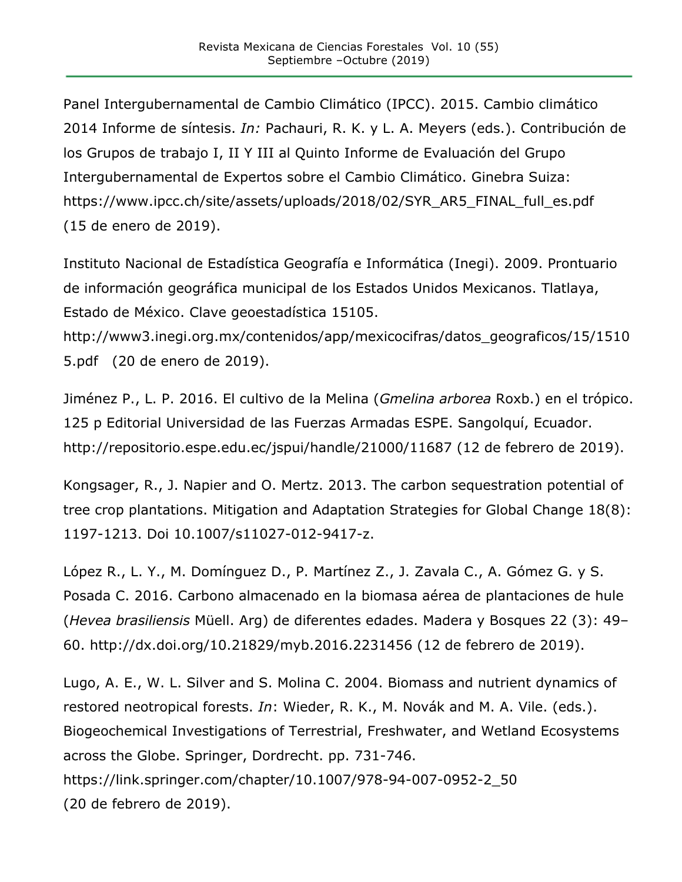Panel Intergubernamental de Cambio Climático (IPCC). 2015. Cambio climático 2014 Informe de síntesis. *In:* Pachauri, R. K. y L. A. Meyers (eds.). Contribución de los Grupos de trabajo I, II Y III al Quinto Informe de Evaluación del Grupo Intergubernamental de Expertos sobre el Cambio Climático. Ginebra Suiza: https://www.ipcc.ch/site/assets/uploads/2018/02/SYR\_AR5\_FINAL\_full\_es.pdf (15 de enero de 2019).

Instituto Nacional de Estadística Geografía e Informática (Inegi). 2009. Prontuario de información geográfica municipal de los Estados Unidos Mexicanos. Tlatlaya, Estado de México. Clave geoestadística 15105.

http://www3.inegi.org.mx/contenidos/app/mexicocifras/datos\_geograficos/15/1510 5.pdf (20 de enero de 2019).

Jiménez P., L. P. 2016. El cultivo de la Melina (*Gmelina arborea* Roxb.) en el trópico. 125 p Editorial Universidad de las Fuerzas Armadas ESPE. Sangolquí, Ecuador. http://repositorio.espe.edu.ec/jspui/handle/21000/11687 (12 de febrero de 2019).

Kongsager, R., J. Napier and O. Mertz. 2013. The carbon sequestration potential of tree crop plantations. Mitigation and Adaptation Strategies for Global Change 18(8): 1197-1213. Doi 10.1007/s11027-012-9417-z.

López R., L. Y., M. Domínguez D., P. Martínez Z., J. Zavala C., A. Gómez G. y S. Posada C. 2016. Carbono almacenado en la biomasa aérea de plantaciones de hule (*Hevea brasiliensis* Müell. Arg) de diferentes edades. Madera y Bosques 22 (3): 49– 60. http://dx.doi.org/10.21829/myb.2016.2231456 (12 de febrero de 2019).

Lugo, A. E., W. L. Silver and S. Molina C. 2004. Biomass and nutrient dynamics of restored neotropical forests. *In*: Wieder, R. K., M. Novák and M. A. Vile. (eds.). Biogeochemical Investigations of Terrestrial, Freshwater, and Wetland Ecosystems across the Globe. Springer, Dordrecht. pp. 731-746. https://link.springer.com/chapter/10.1007/978-94-007-0952-2\_50 (20 de febrero de 2019).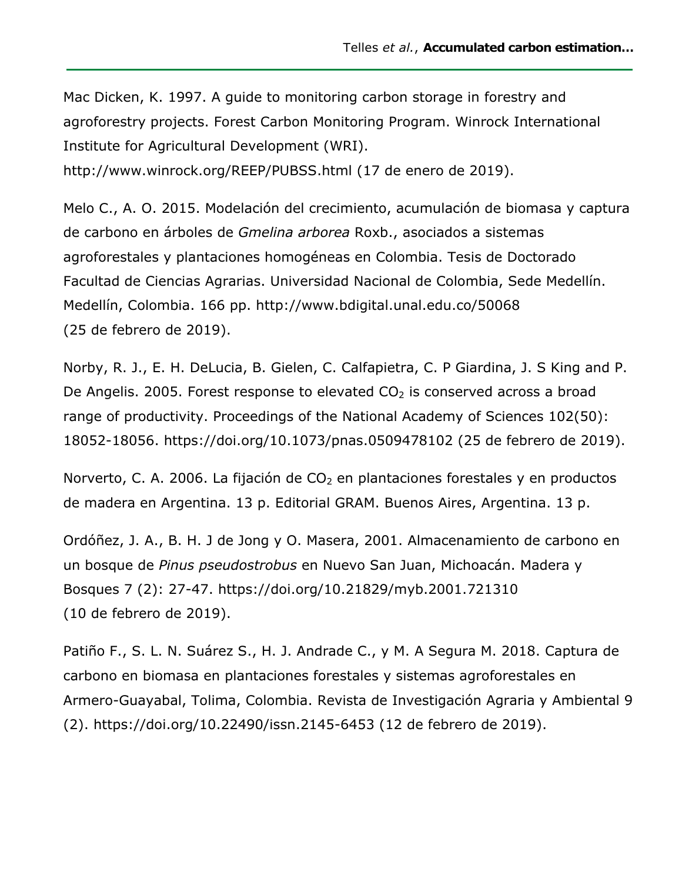Mac Dicken, K. 1997. A guide to monitoring carbon storage in forestry and agroforestry projects. Forest Carbon Monitoring Program. Winrock International Institute for Agricultural Development (WRI). http://www.winrock.org/REEP/PUBSS.html (17 de enero de 2019).

Melo C., A. O. 2015. Modelación del crecimiento, acumulación de biomasa y captura de carbono en árboles de *Gmelina arborea* Roxb., asociados a sistemas agroforestales y plantaciones homogéneas en Colombia. Tesis de Doctorado Facultad de Ciencias Agrarias. Universidad Nacional de Colombia, Sede Medellín. Medellín, Colombia. 166 pp. http://www.bdigital.unal.edu.co/50068 (25 de febrero de 2019).

Norby, R. J., E. H. DeLucia, B. Gielen, C. Calfapietra, C. P Giardina, J. S King and P. De Angelis. 2005. Forest response to elevated  $CO<sub>2</sub>$  is conserved across a broad range of productivity. Proceedings of the National Academy of Sciences 102(50): 18052-18056. https://doi.org/10.1073/pnas.0509478102 (25 de febrero de 2019).

Norverto, C. A. 2006. La fijación de  $CO<sub>2</sub>$  en plantaciones forestales y en productos de madera en Argentina. 13 p. Editorial GRAM. Buenos Aires, Argentina. 13 p.

Ordóñez, J. A., B. H. J de Jong y O. Masera, 2001. Almacenamiento de carbono en un bosque de *Pinus pseudostrobus* en Nuevo San Juan, Michoacán. Madera y Bosques 7 (2): 27-47. https://doi.org/10.21829/myb.2001.721310 (10 de febrero de 2019).

Patiño F., S. L. N. Suárez S., H. J. Andrade C., y M. A Segura M. 2018. Captura de carbono en biomasa en plantaciones forestales y sistemas agroforestales en Armero-Guayabal, Tolima, Colombia. Revista de Investigación Agraria y Ambiental 9 (2). https://doi.org/10.22490/issn.2145-6453 (12 de febrero de 2019).